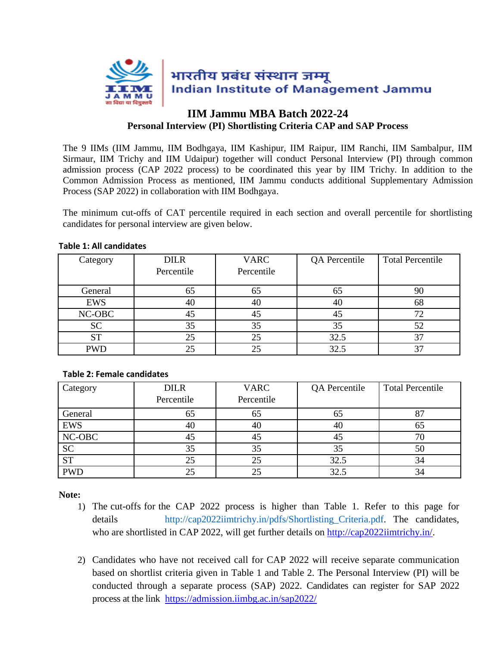

## **IIM Jammu MBA Batch 2022-24 Personal Interview (PI) Shortlisting Criteria CAP and SAP Process**

The 9 IIMs (IIM Jammu, IIM Bodhgaya, IIM Kashipur, IIM Raipur, IIM Ranchi, IIM Sambalpur, IIM Sirmaur, IIM Trichy and IIM Udaipur) together will conduct Personal Interview (PI) through common admission process (CAP 2022 process) to be coordinated this year by IIM Trichy. In addition to the Common Admission Process as mentioned, IIM Jammu conducts additional Supplementary Admission Process (SAP 2022) in collaboration with IIM Bodhgaya.

The minimum cut-offs of CAT percentile required in each section and overall percentile for shortlisting candidates for personal interview are given below.

| Category   | <b>DILR</b> | <b>VARC</b> | QA Percentile | <b>Total Percentile</b> |
|------------|-------------|-------------|---------------|-------------------------|
|            | Percentile  | Percentile  |               |                         |
| General    | 65          | 65          | 65            | 90                      |
| <b>EWS</b> | 40          | 40          | 40            | 68                      |
| NC-OBC     | 45          | 45          | 45            |                         |
| <b>SC</b>  | 35          | 35          | 35            | 52                      |
| <b>ST</b>  | 25          | 25          | 32.5          |                         |
| <b>PWD</b> |             |             | 32.5          |                         |

## **Table 1: All candidates**

## **Table 2: Female candidates**

| Category   | <b>DILR</b> | <b>VARC</b> | QA Percentile | <b>Total Percentile</b> |
|------------|-------------|-------------|---------------|-------------------------|
|            | Percentile  | Percentile  |               |                         |
| General    | 65          | 65          | 65            |                         |
| EWS        | 40          | 40          | 40            | 65                      |
| NC-OBC     | 45          | 45          | 45            |                         |
| <b>SC</b>  | 35          | 35          | 35            | 50                      |
| <b>ST</b>  | 25          | 25          | 32.5          | 34                      |
| <b>PWD</b> | 25          |             | 32.5          | 34                      |

**Note:**

- 1) The cut-offs for the CAP 2022 process is higher than Table 1. Refer to this page for details http://cap2022iimtrichy.in/pdfs/Shortlisting\_Criteria.pdf. The candidates, who are shortlisted in CAP 2022, will get further details on [http://cap2022iimtrichy.in/.](http://cap2022iimtrichy.in/)
- 2) Candidates who have not received call for CAP 2022 will receive separate communication based on shortlist criteria given in Table 1 and Table 2. The Personal Interview (PI) will be conducted through a separate process (SAP) 2022. Candidates can register for SAP 2022 process at the link <https://admission.iimbg.ac.in/sap2022/>